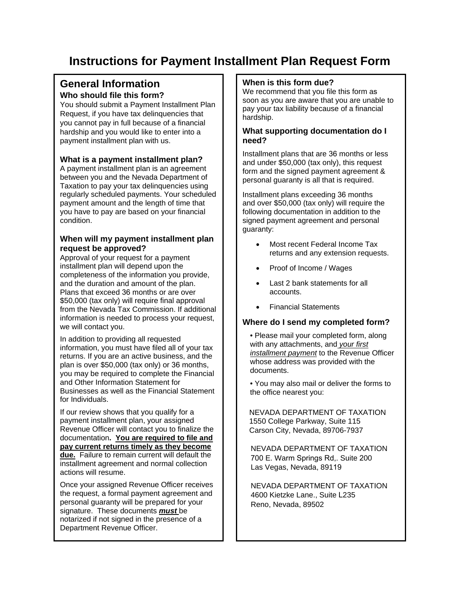# **Instructions for Payment Installment Plan Request Form**

# **General Information**

## **Who should file this form?**

You should submit a Payment Installment Plan Request, if you have tax delinquencies that you cannot pay in full because of a financial hardship and you would like to enter into a payment installment plan with us.

### **What is a payment installment plan?**

A payment installment plan is an agreement between you and the Nevada Department of Taxation to pay your tax delinquencies using regularly scheduled payments. Your scheduled payment amount and the length of time that you have to pay are based on your financial condition.

## **When will my payment installment plan request be approved?**

Approval of your request for a payment installment plan will depend upon the completeness of the information you provide, and the duration and amount of the plan. Plans that exceed 36 months or are over \$50,000 (tax only) will require final approval from the Nevada Tax Commission. If additional information is needed to process your request, we will contact you.

In addition to providing all requested information, you must have filed all of your tax returns. If you are an active business, and the plan is over \$50,000 (tax only) or 36 months, you may be required to complete the Financial and Other Information Statement for Businesses as well as the Financial Statement for Individuals.

If our review shows that you qualify for a payment installment plan, your assigned Revenue Officer will contact you to finalize the documentation**. You are required to file and pay current returns timely as they become due.** Failure to remain current will default the installment agreement and normal collection actions will resume.

Once your assigned Revenue Officer receives the request, a formal payment agreement and personal guaranty will be prepared for your signature. These documents *must* be notarized if not signed in the presence of a Department Revenue Officer.

#### **When is this form due?**

We recommend that you file this form as soon as you are aware that you are unable to pay your tax liability because of a financial hardship.

#### **What supporting documentation do I need?**

Installment plans that are 36 months or less and under \$50,000 (tax only), this request form and the signed payment agreement & personal guaranty is all that is required.

Installment plans exceeding 36 months and over \$50,000 (tax only) will require the following documentation in addition to the signed payment agreement and personal guaranty:

- Most recent Federal Income Tax returns and any extension requests.
- Proof of Income / Wages
- Last 2 bank statements for all accounts.
- Financial Statements

#### **Where do I send my completed form?**

• Please mail your completed form, along with any attachments, and *your first installment payment* to the Revenue Officer whose address was provided with the documents.

• You may also mail or deliver the forms to the office nearest you:

NEVADA DEPARTMENT OF TAXATION 1550 College Parkway, Suite 115 Carson City, Nevada, 89706-7937

NEVADA DEPARTMENT OF TAXATION 700 E. Warm Springs Rd,. Suite 200 Las Vegas, Nevada, 89119

NEVADA DEPARTMENT OF TAXATION 4600 Kietzke Lane., Suite L235 Reno, Nevada, 89502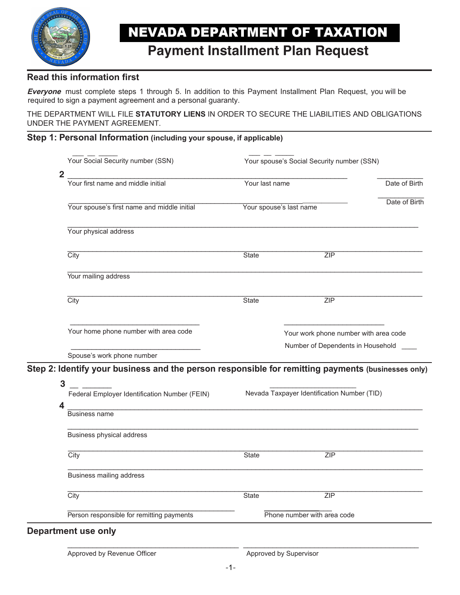

# **NEVADA DEPARTMENT OF TAXATION**

# **Payment Installment Plan Request**

# **Read this information first**

**Everyone** must complete steps 1 through 5. In addition to this Payment Installment Plan Request, you will be required to sign a payment agreement and a personal guaranty.

THE DEPARTMENT WILL FILE **STATUTORY LIENS** IN ORDER TO SECURE THE LIABILITIES AND OBLIGATIONS UNDER THE PAYMENT AGREEMENT.

# **Step 1: Personal Information (including your spouse, if applicable)**

| Your Social Security number (SSN)                                                                                                                        | Your spouse's Social Security number (SSN) |                                             |               |
|----------------------------------------------------------------------------------------------------------------------------------------------------------|--------------------------------------------|---------------------------------------------|---------------|
| $\overline{\mathbf{2}}$<br>Your first name and middle initial                                                                                            | Your last name                             |                                             | Date of Birth |
| Your spouse's first name and middle initial                                                                                                              | Your spouse's last name                    |                                             | Date of Birth |
| Your physical address                                                                                                                                    |                                            |                                             |               |
| City                                                                                                                                                     | <b>State</b>                               | ZIP                                         |               |
| Your mailing address                                                                                                                                     |                                            |                                             |               |
| City                                                                                                                                                     | <b>State</b>                               | ZIP                                         |               |
| Your home phone number with area code                                                                                                                    |                                            | Your work phone number with area code       |               |
|                                                                                                                                                          | Number of Dependents in Household          |                                             |               |
| Spouse's work phone number                                                                                                                               |                                            |                                             |               |
| Step 2: Identify your business and the person responsible for remitting payments (businesses only)<br>3<br>Federal Employer Identification Number (FEIN) |                                            | Nevada Taxpayer Identification Number (TID) |               |
| Business name                                                                                                                                            |                                            |                                             |               |
| Business physical address<br>City                                                                                                                        | <b>State</b>                               | ZIP                                         |               |
| Business mailing address                                                                                                                                 |                                            |                                             |               |
| $\overline{City}$                                                                                                                                        | <b>State</b>                               | ZIP                                         |               |

Approved by Revenue Officer Approved by Supervisor

\_\_\_\_\_\_\_\_\_\_\_\_\_\_\_\_\_\_\_\_\_\_\_\_\_\_\_\_\_\_\_\_\_\_\_\_\_\_\_\_\_ \_\_\_\_\_\_\_\_\_\_\_\_\_\_\_\_\_\_\_\_\_\_\_\_\_\_\_\_\_\_\_\_\_\_\_\_\_\_\_\_\_\_